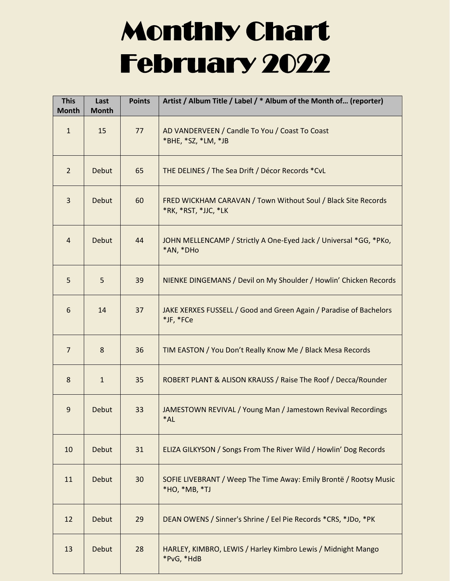## Monthly Chart February 2022

| <b>This</b><br><b>Month</b> | Last<br><b>Month</b> | <b>Points</b> | Artist / Album Title / Label / * Album of the Month of (reporter)                     |
|-----------------------------|----------------------|---------------|---------------------------------------------------------------------------------------|
| $\mathbf{1}$                | 15                   | 77            | AD VANDERVEEN / Candle To You / Coast To Coast<br>*BHE, *SZ, *LM, *JB                 |
| $\overline{2}$              | <b>Debut</b>         | 65            | THE DELINES / The Sea Drift / Décor Records *CvL                                      |
| 3                           | <b>Debut</b>         | 60            | FRED WICKHAM CARAVAN / Town Without Soul / Black Site Records<br>*RK, *RST, *JJC, *LK |
| $\overline{a}$              | <b>Debut</b>         | 44            | JOHN MELLENCAMP / Strictly A One-Eyed Jack / Universal *GG, *PKo,<br>*AN, *DHo        |
| 5                           | 5                    | 39            | NIENKE DINGEMANS / Devil on My Shoulder / Howlin' Chicken Records                     |
| 6                           | 14                   | 37            | JAKE XERXES FUSSELL / Good and Green Again / Paradise of Bachelors<br>*JF, *FCe       |
| $\overline{7}$              | 8                    | 36            | TIM EASTON / You Don't Really Know Me / Black Mesa Records                            |
| 8                           | $\mathbf{1}$         | 35            | ROBERT PLANT & ALISON KRAUSS / Raise The Roof / Decca/Rounder                         |
| 9                           | <b>Debut</b>         | 33            | JAMESTOWN REVIVAL / Young Man / Jamestown Revival Recordings<br>*AL                   |
| 10                          | <b>Debut</b>         | 31            | ELIZA GILKYSON / Songs From The River Wild / Howlin' Dog Records                      |
| 11                          | <b>Debut</b>         | 30            | SOFIE LIVEBRANT / Weep The Time Away: Emily Brontë / Rootsy Music<br>*HO, *MB, *TJ    |
| 12                          | <b>Debut</b>         | 29            | DEAN OWENS / Sinner's Shrine / Eel Pie Records *CRS, *JDo, *PK                        |
| 13                          | <b>Debut</b>         | 28            | HARLEY, KIMBRO, LEWIS / Harley Kimbro Lewis / Midnight Mango<br>*PvG, *HdB            |

<u> Isabel a shekara ta 1989 na shekara ta 1989 na shekara ta 1989 na shekara ta 1989 na shekara ta 1989 na shekara ta 1989 na shekara ta 1989 na shekara ta 1989 na shekara ta 1989 na shekara ta 1989 na shekara ta 1989 na sh</u>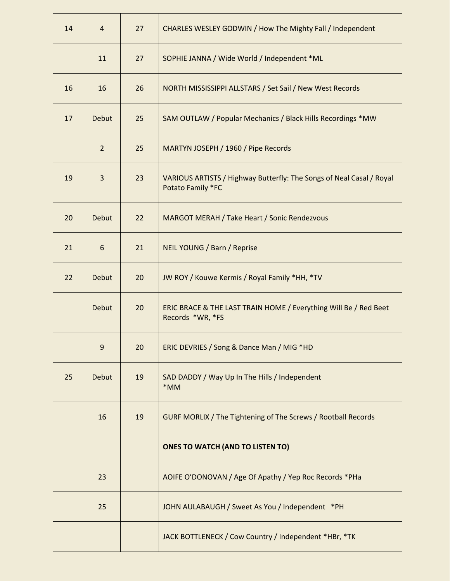| 14 | 4              | 27 | CHARLES WESLEY GODWIN / How The Mighty Fall / Independent                                 |
|----|----------------|----|-------------------------------------------------------------------------------------------|
|    | 11             | 27 | SOPHIE JANNA / Wide World / Independent *ML                                               |
| 16 | 16             | 26 | NORTH MISSISSIPPI ALLSTARS / Set Sail / New West Records                                  |
| 17 | Debut          | 25 | SAM OUTLAW / Popular Mechanics / Black Hills Recordings *MW                               |
|    | $\overline{2}$ | 25 | MARTYN JOSEPH / 1960 / Pipe Records                                                       |
| 19 | 3              | 23 | VARIOUS ARTISTS / Highway Butterfly: The Songs of Neal Casal / Royal<br>Potato Family *FC |
| 20 | <b>Debut</b>   | 22 | MARGOT MERAH / Take Heart / Sonic Rendezvous                                              |
| 21 | 6              | 21 | NEIL YOUNG / Barn / Reprise                                                               |
| 22 | Debut          | 20 | JW ROY / Kouwe Kermis / Royal Family *HH, *TV                                             |
|    | Debut          | 20 | ERIC BRACE & THE LAST TRAIN HOME / Everything Will Be / Red Beet<br>Records *WR, *FS      |
|    | 9              | 20 | ERIC DEVRIES / Song & Dance Man / MIG *HD                                                 |
| 25 | Debut          | 19 | SAD DADDY / Way Up In The Hills / Independent<br>*MM                                      |
|    | 16             | 19 | <b>GURF MORLIX / The Tightening of The Screws / Rootball Records</b>                      |
|    |                |    | <b>ONES TO WATCH (AND TO LISTEN TO)</b>                                                   |
|    | 23             |    | AOIFE O'DONOVAN / Age Of Apathy / Yep Roc Records *PHa                                    |
|    | 25             |    | JOHN AULABAUGH / Sweet As You / Independent *PH                                           |
|    |                |    | JACK BOTTLENECK / Cow Country / Independent *HBr, *TK                                     |